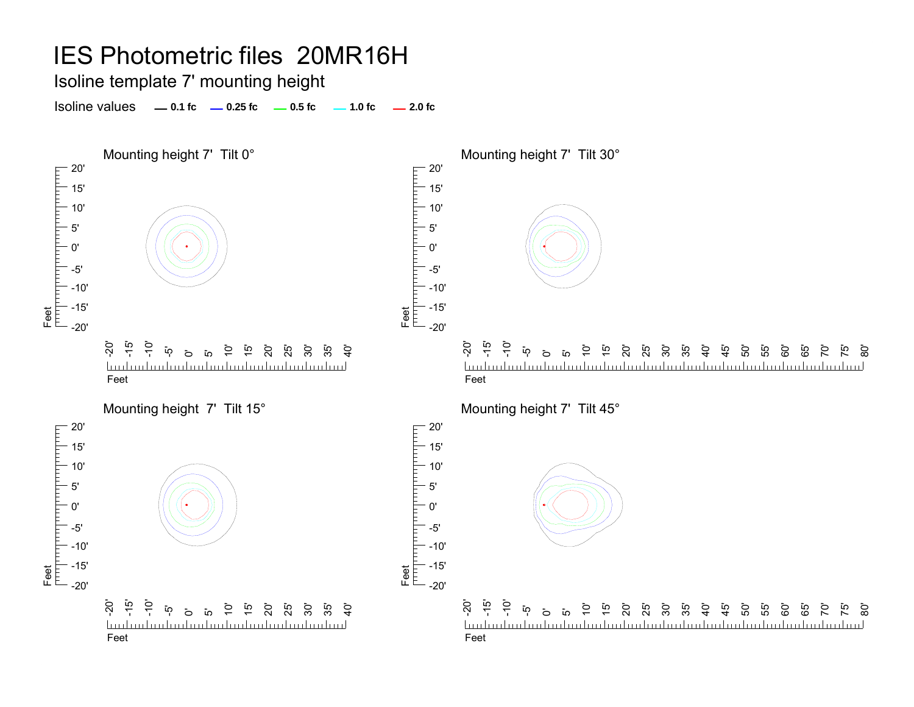Isoline template 7' mounting height

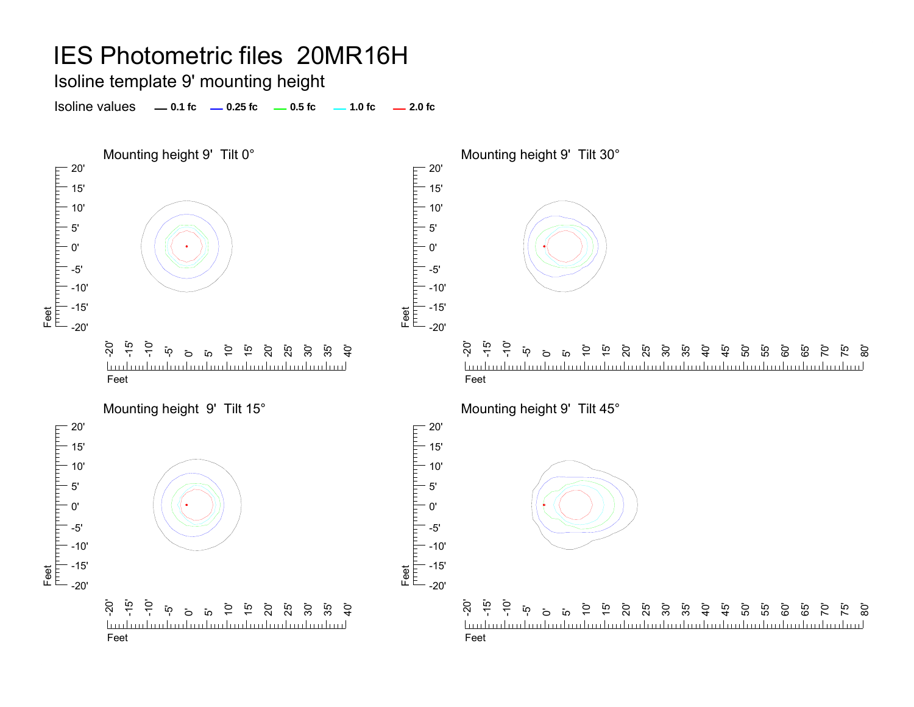Isoline template 9' mounting height

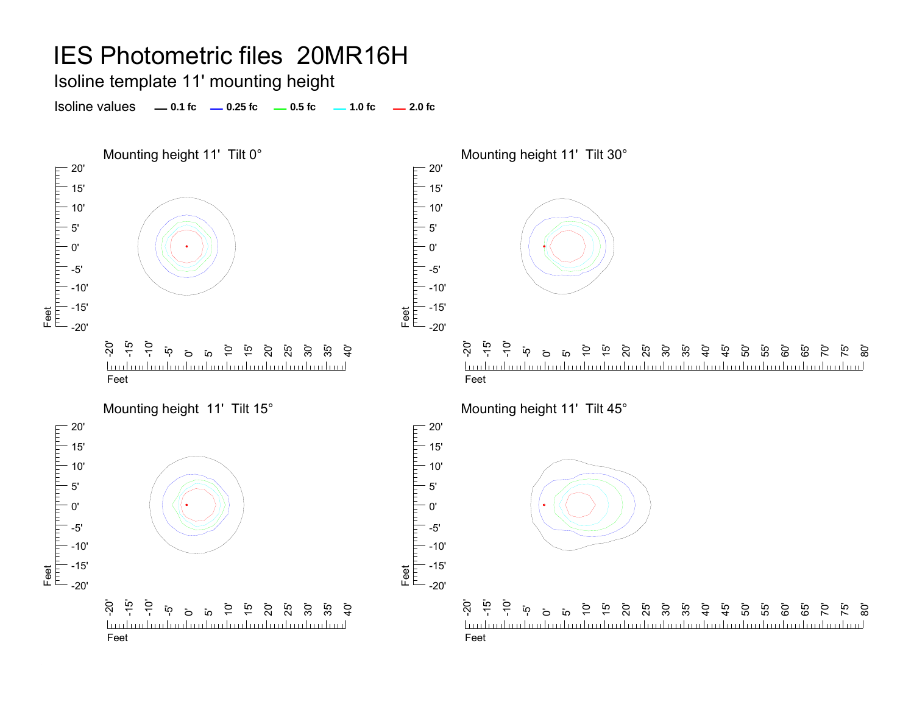Isoline template 11' mounting height

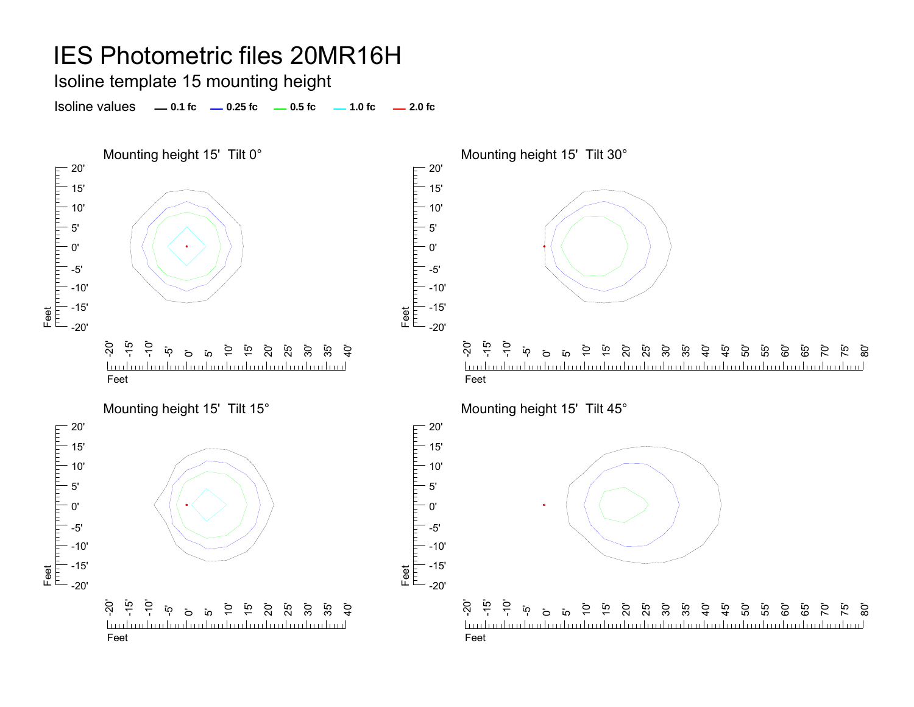#### Isoline template 15 mounting height





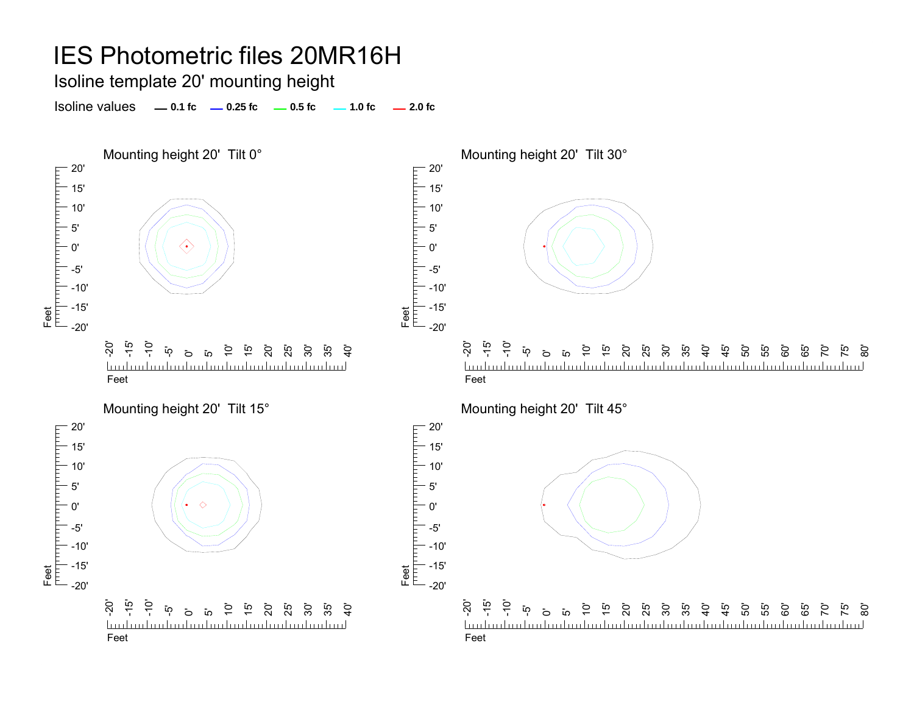#### Isoline template 20' mounting height

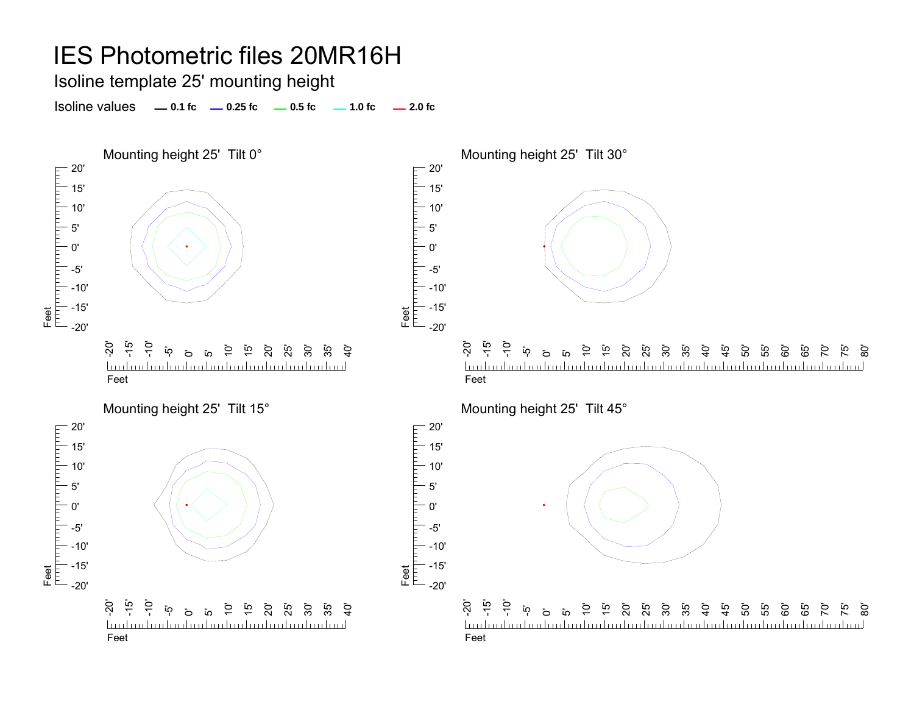Isoline template 25' mounting height